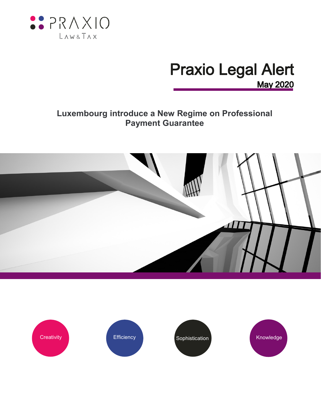

# **Praxio Legal Alert May 2020**

# **Luxembourg introduce a New Regime on Professional Payment Guarantee**



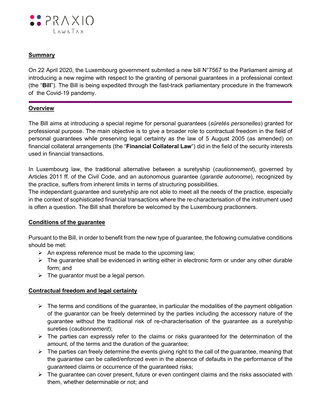

## **Summary**

On 22 April 2020, the Luxembourg government submited a new bill N°7567 to the Parliament aiming at introducing a new regime with respect to the granting of personal guarantees in a professional context (the "**Bill**"). The Bill is being expedited through the fast-track parliamentary procedure in the framework of the Covid-19 pandemy.

#### **Overview**

The Bill aims at introducing a special regime for personal guarantees (*sûretés personelles*) granted for professional purpose. The main objective is to give a broader role to contractual freedom in the field of personal guarantees while preserving legal certainty as the law of 5 August 2005 (as amended) on financial collateral arrangements (the "**Financial Collateral Law**") did in the field of the security interests used in financial transactions.

In Luxembourg law, the traditional alternative between a suretyship (*cautionnement*), governed by Articles 2011 ff. of the Civil Code, and an autonomous guarantee (*garantie autonome*), recognized by the practice, suffers from inherent limits in terms of structuring possibilities.

The independant guarantee and suretyship are not able to meet all the needs of the practice, especially in the context of sophisticated financial transactions where the re-characterisation of the instrument used is often a question. The Bill shall therefore be welcomed by the Luxembourg practionners.

#### **Conditions of the guarantee**

Pursuant to the Bill, in order to benefit from the new type of guarantee, the following cumulative conditions should be met:

- $\triangleright$  An express reference must be made to the upcoming law;
- $\triangleright$  The guarantee shall be evidenced in writing either in electronic form or under any other durable form; and
- $\triangleright$  The guarantor must be a legal person.

## **Contractual freedom and legal certainty**

- $\triangleright$  The terms and conditions of the guarantee, in particular the modalities of the payment obligation of the guarantor can be freely determined by the parties including the accessory nature of the guarantee without the traditional risk of re-characterisation of the guarantee as a suretyship sureties (*cautionnement*);
- $\triangleright$  The parties can expressly refer to the claims or risks guaranteed for the determination of the amount, of the terms and the duration of the guarantee;
- $\triangleright$  The parties can freely determine the events giving right to the call of the guarantee, meaning that the guarantee can be called/enforced even in the absence of defaults in the performance of the guaranteed claims or occurrence of the guaranteed risks;
- $\triangleright$  The quarantee can cover present, future or even contingent claims and the risks associated with them, whether determinable or not; and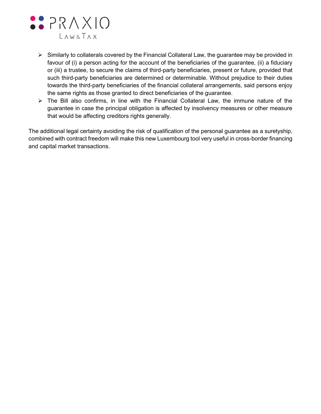

- $\triangleright$  Similarly to collaterals covered by the Financial Collateral Law, the guarantee may be provided in favour of (i) a person acting for the account of the beneficiaries of the guarantee, (ii) a fiduciary or (iii) a trustee, to secure the claims of third-party beneficiaries, present or future, provided that such third-party beneficiaries are determined or determinable. Without prejudice to their duties towards the third-party beneficiaries of the financial collateral arrangements, said persons enjoy the same rights as those granted to direct beneficiaries of the guarantee.
- $\triangleright$  The Bill also confirms, in line with the Financial Collateral Law, the immune nature of the guarantee in case the principal obligation is affected by insolvency measures or other measure that would be affecting creditors rights generally.

The additional legal certainty avoiding the risk of qualification of the personal guarantee as a suretyship, combined with contract freedom will make this new Luxembourg tool very useful in cross-border financing and capital market transactions.